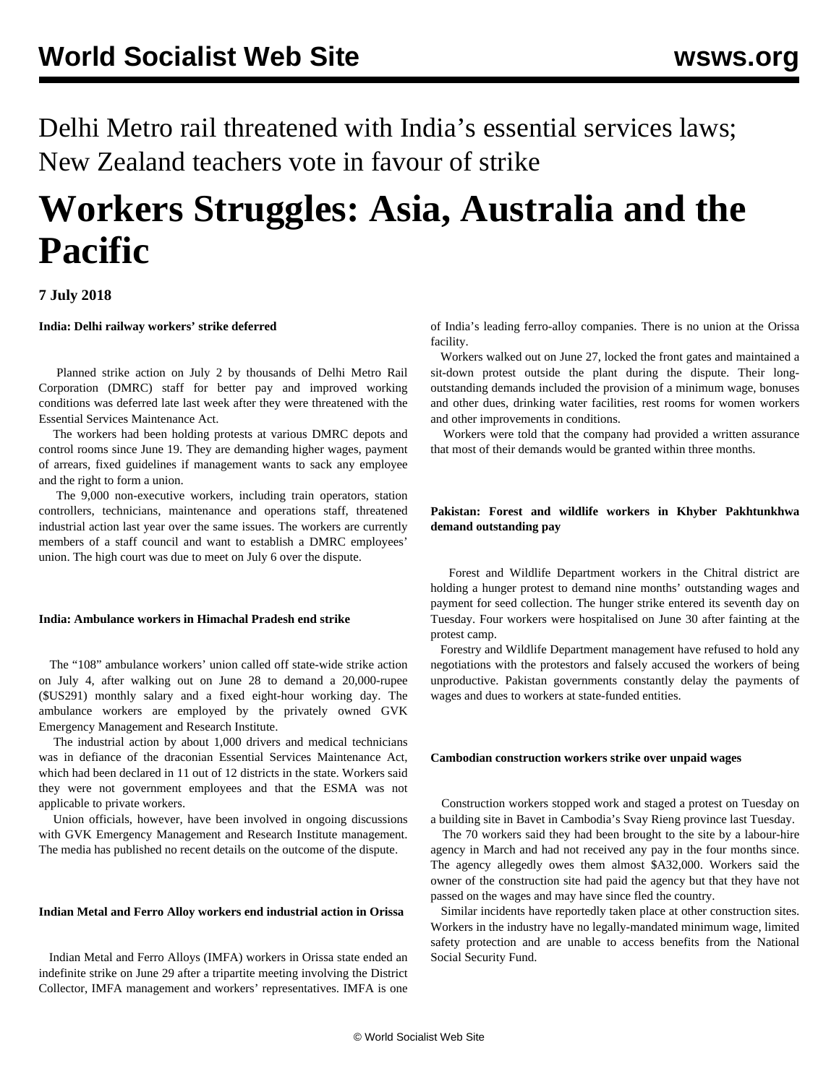Delhi Metro rail threatened with India's essential services laws; New Zealand teachers vote in favour of strike

# **Workers Struggles: Asia, Australia and the Pacific**

**7 July 2018**

**India: Delhi railway workers' strike deferred**

 Planned strike action on July 2 by thousands of Delhi Metro Rail Corporation (DMRC) staff for better pay and improved working conditions was deferred late last week after they were threatened with the Essential Services Maintenance Act.

 The workers had been holding protests at various DMRC depots and control rooms since June 19. They are demanding higher wages, payment of arrears, fixed guidelines if management wants to sack any employee and the right to form a union.

 The 9,000 non-executive workers, including train operators, station controllers, technicians, maintenance and operations staff, threatened industrial action last year over the same issues. The workers are currently members of a staff council and want to establish a DMRC employees' union. The high court was due to meet on July 6 over the dispute.

### **India: Ambulance workers in Himachal Pradesh end strike**

 The "108" ambulance workers' union called off state-wide strike action on July 4, after walking out on June 28 to demand a 20,000-rupee (\$US291) monthly salary and a fixed eight-hour working day. The ambulance workers are employed by the privately owned GVK Emergency Management and Research Institute.

 The industrial action by about 1,000 drivers and medical technicians was in defiance of the draconian Essential Services Maintenance Act, which had been declared in 11 out of 12 districts in the state. Workers said they were not government employees and that the ESMA was not applicable to private workers.

 Union officials, however, have been involved in ongoing discussions with GVK Emergency Management and Research Institute management. The media has published no recent details on the outcome of the dispute.

# **Indian Metal and Ferro Alloy workers end industrial action in Orissa**

 Indian Metal and Ferro Alloys (IMFA) workers in Orissa state ended an indefinite strike on June 29 after a tripartite meeting involving the District Collector, IMFA management and workers' representatives. IMFA is one of India's leading ferro-alloy companies. There is no union at the Orissa facility.

 Workers walked out on June 27, locked the front gates and maintained a sit-down protest outside the plant during the dispute. Their longoutstanding demands included the provision of a minimum wage, bonuses and other dues, drinking water facilities, rest rooms for women workers and other improvements in conditions.

 Workers were told that the company had provided a written assurance that most of their demands would be granted within three months.

## **Pakistan: Forest and wildlife workers in Khyber Pakhtunkhwa demand outstanding pay**

 Forest and Wildlife Department workers in the Chitral district are holding a hunger protest to demand nine months' outstanding wages and payment for seed collection. The hunger strike entered its seventh day on Tuesday. Four workers were hospitalised on June 30 after fainting at the protest camp.

 Forestry and Wildlife Department management have refused to hold any negotiations with the protestors and falsely accused the workers of being unproductive. Pakistan governments constantly delay the payments of wages and dues to workers at state-funded entities.

# **Cambodian construction workers strike over unpaid wages**

 Construction workers stopped work and staged a protest on Tuesday on a building site in Bavet in Cambodia's Svay Rieng province last Tuesday.

 The 70 workers said they had been brought to the site by a labour-hire agency in March and had not received any pay in the four months since. The agency allegedly owes them almost \$A32,000. Workers said the owner of the construction site had paid the agency but that they have not passed on the wages and may have since fled the country.

 Similar incidents have reportedly taken place at other construction sites. Workers in the industry have no legally-mandated minimum wage, limited safety protection and are unable to access benefits from the National Social Security Fund.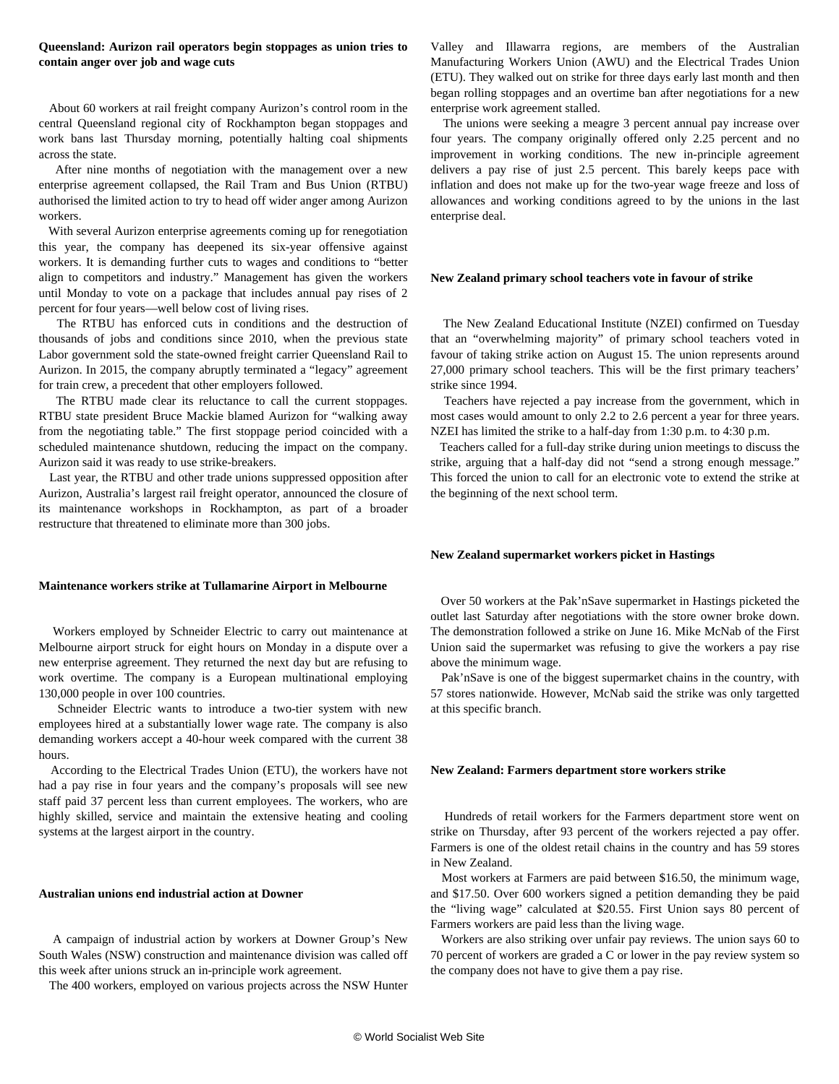#### **Queensland: Aurizon rail operators begin stoppages as union tries to contain anger over job and wage cuts**

 About 60 workers at rail freight company Aurizon's control room in the central Queensland regional city of Rockhampton began stoppages and work bans last Thursday morning, potentially halting coal shipments across the state.

 After nine months of negotiation with the management over a new enterprise agreement collapsed, the Rail Tram and Bus Union (RTBU) authorised the limited action to try to head off wider anger among Aurizon workers.

 With several Aurizon enterprise agreements coming up for renegotiation this year, the company has deepened its six-year offensive against workers. It is demanding further cuts to wages and conditions to "better align to competitors and industry." Management has given the workers until Monday to vote on a package that includes annual pay rises of 2 percent for four years—well below cost of living rises.

 The RTBU has enforced cuts in conditions and the destruction of thousands of jobs and conditions since 2010, when the previous state Labor government sold the state-owned freight carrier Queensland Rail to Aurizon. In 2015, the company abruptly terminated a "legacy" agreement for train crew, a precedent that other employers followed.

 The RTBU made clear its reluctance to call the current stoppages. RTBU state president Bruce Mackie blamed Aurizon for "walking away from the negotiating table." The first stoppage period coincided with a scheduled maintenance shutdown, reducing the impact on the company. Aurizon said it was ready to use strike-breakers.

 Last year, the RTBU and other trade unions suppressed opposition after Aurizon, Australia's largest rail freight operator, [announced](/en/articles/2017/06/10/auri-j10.html) the closure of its maintenance workshops in Rockhampton, as part of a broader restructure that threatened to eliminate more than 300 jobs.

#### **Maintenance workers strike at Tullamarine Airport in Melbourne**

 Workers employed by Schneider Electric to carry out maintenance at Melbourne airport struck for eight hours on Monday in a dispute over a new enterprise agreement. They returned the next day but are refusing to work overtime. The company is a European multinational employing 130,000 people in over 100 countries.

 Schneider Electric wants to introduce a two-tier system with new employees hired at a substantially lower wage rate. The company is also demanding workers accept a 40-hour week compared with the current 38 hours.

 According to the Electrical Trades Union (ETU), the workers have not had a pay rise in four years and the company's proposals will see new staff paid 37 percent less than current employees. The workers, who are highly skilled, service and maintain the extensive heating and cooling systems at the largest airport in the country.

#### **Australian unions end industrial action at Downer**

 A campaign of industrial action by workers at Downer Group's New South Wales (NSW) construction and maintenance division was called off this week after unions struck an in-principle work agreement.

The 400 workers, employed on various projects across the NSW Hunter

Valley and Illawarra regions, are members of the Australian Manufacturing Workers Union (AWU) and the Electrical Trades Union (ETU). They walked out on strike for three days early last month and then began rolling stoppages and an overtime ban after negotiations for a new enterprise work agreement stalled.

 The unions were seeking a meagre 3 percent annual pay increase over four years. The company originally offered only 2.25 percent and no improvement in working conditions. The new in-principle agreement delivers a pay rise of just 2.5 percent. This barely keeps pace with inflation and does not make up for the two-year wage freeze and loss of allowances and working conditions agreed to by the unions in the last enterprise deal.

#### **New Zealand primary school teachers vote in favour of strike**

 The New Zealand Educational Institute (NZEI) confirmed on Tuesday that an "overwhelming majority" of primary school teachers voted in favour of taking strike action on August 15. The union represents around 27,000 primary school teachers. This will be the first primary teachers' strike since 1994.

 Teachers have rejected a pay increase from the government, which in most cases would amount to only 2.2 to 2.6 percent a year for three years. NZEI has limited the strike to a half-day from 1:30 p.m. to 4:30 p.m.

 Teachers called for a full-day strike during union meetings to discuss the strike, arguing that a half-day did not "send a strong enough message." This forced the union to call for an electronic vote to extend the strike at the beginning of the next school term.

#### **New Zealand supermarket workers picket in Hastings**

 Over 50 workers at the Pak'nSave supermarket in Hastings picketed the outlet last Saturday after negotiations with the store owner broke down. The demonstration followed a strike on June 16. Mike McNab of the First Union said the supermarket was refusing to give the workers a pay rise above the minimum wage.

 Pak'nSave is one of the biggest supermarket chains in the country, with 57 stores nationwide. However, McNab said the strike was only targetted at this specific branch.

#### **New Zealand: Farmers department store workers strike**

 Hundreds of retail workers for the Farmers department store went on strike on Thursday, after 93 percent of the workers rejected a pay offer. Farmers is one of the oldest retail chains in the country and has 59 stores in New Zealand.

 Most workers at Farmers are paid between \$16.50, the minimum wage, and \$17.50. Over 600 workers signed a petition demanding they be paid the "living wage" calculated at \$20.55. First Union says 80 percent of Farmers workers are paid less than the living wage.

 Workers are also striking over unfair pay reviews. The union says 60 to 70 percent of workers are graded a C or lower in the pay review system so the company does not have to give them a pay rise.